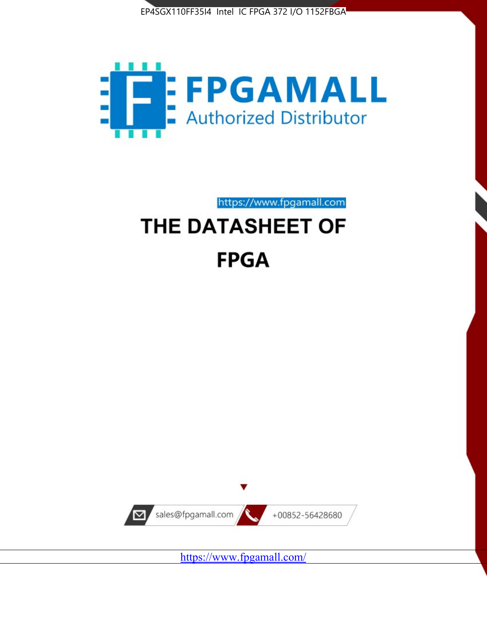



https://www.fpgamall.com

# THE DATASHEET OF **FPGA**



<https://www.fpgamall.com/>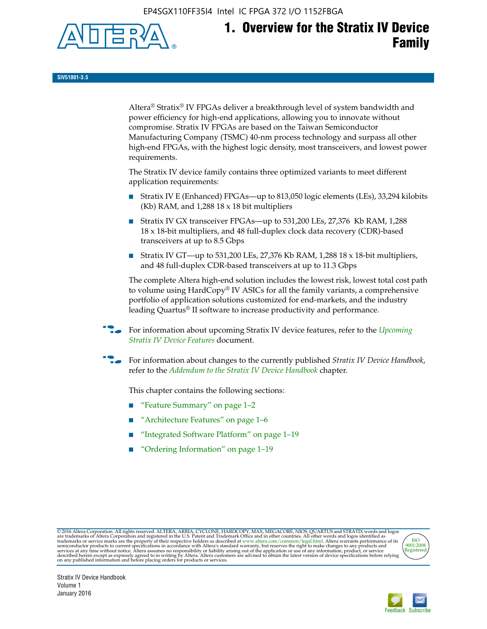EP4SGX110FF35I4 Intel IC FPGA 372 I/O 1152FBGA



# **1. Overview for the Stratix IV Device Family**

**SIV51001-3.5**

Altera® Stratix® IV FPGAs deliver a breakthrough level of system bandwidth and power efficiency for high-end applications, allowing you to innovate without compromise. Stratix IV FPGAs are based on the Taiwan Semiconductor Manufacturing Company (TSMC) 40-nm process technology and surpass all other high-end FPGAs, with the highest logic density, most transceivers, and lowest power requirements.

The Stratix IV device family contains three optimized variants to meet different application requirements:

- Stratix IV E (Enhanced) FPGAs—up to 813,050 logic elements (LEs), 33,294 kilobits (Kb) RAM, and 1,288 18 x 18 bit multipliers
- Stratix IV GX transceiver FPGAs—up to 531,200 LEs, 27,376 Kb RAM, 1,288 18 x 18-bit multipliers, and 48 full-duplex clock data recovery (CDR)-based transceivers at up to 8.5 Gbps
- Stratix IV GT—up to 531,200 LEs, 27,376 Kb RAM, 1,288 18 x 18-bit multipliers, and 48 full-duplex CDR-based transceivers at up to 11.3 Gbps

The complete Altera high-end solution includes the lowest risk, lowest total cost path to volume using HardCopy® IV ASICs for all the family variants, a comprehensive portfolio of application solutions customized for end-markets, and the industry leading Quartus® II software to increase productivity and performance.

f For information about upcoming Stratix IV device features, refer to the *[Upcoming](http://www.altera.com/literature/hb/stratix-iv/uf01001.pdf?GSA_pos=2&WT.oss_r=1&WT.oss=upcoming)  [Stratix IV Device Features](http://www.altera.com/literature/hb/stratix-iv/uf01001.pdf?GSA_pos=2&WT.oss_r=1&WT.oss=upcoming)* document.

f For information about changes to the currently published *Stratix IV Device Handbook*, refer to the *[Addendum to the Stratix IV Device Handbook](http://www.altera.com/literature/hb/stratix-iv/stx4_siv54002.pdf)* chapter.

This chapter contains the following sections:

- "Feature Summary" on page 1–2
- "Architecture Features" on page 1–6
- "Integrated Software Platform" on page 1–19
- "Ordering Information" on page 1–19

@2016 Altera Corporation. All rights reserved. ALTERA, ARRIA, CYCLONE, HARDCOPY, MAX, MEGACORE, NIOS, QUARTUS and STRATIX words and logos are trademarks of Altera Corporation and registered in the U.S. Patent and Trademark



Stratix IV Device Handbook Volume 1 January 2016

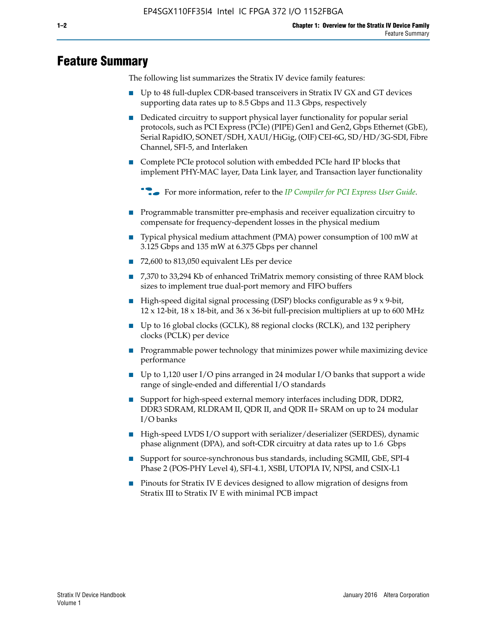## **Feature Summary**

The following list summarizes the Stratix IV device family features:

- Up to 48 full-duplex CDR-based transceivers in Stratix IV GX and GT devices supporting data rates up to 8.5 Gbps and 11.3 Gbps, respectively
- Dedicated circuitry to support physical layer functionality for popular serial protocols, such as PCI Express (PCIe) (PIPE) Gen1 and Gen2, Gbps Ethernet (GbE), Serial RapidIO, SONET/SDH, XAUI/HiGig, (OIF) CEI-6G, SD/HD/3G-SDI, Fibre Channel, SFI-5, and Interlaken
- Complete PCIe protocol solution with embedded PCIe hard IP blocks that implement PHY-MAC layer, Data Link layer, and Transaction layer functionality

**For more information, refer to the** *[IP Compiler for PCI Express User Guide](http://www.altera.com/literature/ug/ug_pci_express.pdf)***.** 

- Programmable transmitter pre-emphasis and receiver equalization circuitry to compensate for frequency-dependent losses in the physical medium
- Typical physical medium attachment (PMA) power consumption of 100 mW at 3.125 Gbps and 135 mW at 6.375 Gbps per channel
- 72,600 to 813,050 equivalent LEs per device
- 7,370 to 33,294 Kb of enhanced TriMatrix memory consisting of three RAM block sizes to implement true dual-port memory and FIFO buffers
- High-speed digital signal processing (DSP) blocks configurable as 9 x 9-bit,  $12 \times 12$ -bit,  $18 \times 18$ -bit, and  $36 \times 36$ -bit full-precision multipliers at up to 600 MHz
- Up to 16 global clocks (GCLK), 88 regional clocks (RCLK), and 132 periphery clocks (PCLK) per device
- Programmable power technology that minimizes power while maximizing device performance
- Up to 1,120 user I/O pins arranged in 24 modular I/O banks that support a wide range of single-ended and differential I/O standards
- Support for high-speed external memory interfaces including DDR, DDR2, DDR3 SDRAM, RLDRAM II, QDR II, and QDR II+ SRAM on up to 24 modular I/O banks
- High-speed LVDS I/O support with serializer/deserializer (SERDES), dynamic phase alignment (DPA), and soft-CDR circuitry at data rates up to 1.6 Gbps
- Support for source-synchronous bus standards, including SGMII, GbE, SPI-4 Phase 2 (POS-PHY Level 4), SFI-4.1, XSBI, UTOPIA IV, NPSI, and CSIX-L1
- Pinouts for Stratix IV E devices designed to allow migration of designs from Stratix III to Stratix IV E with minimal PCB impact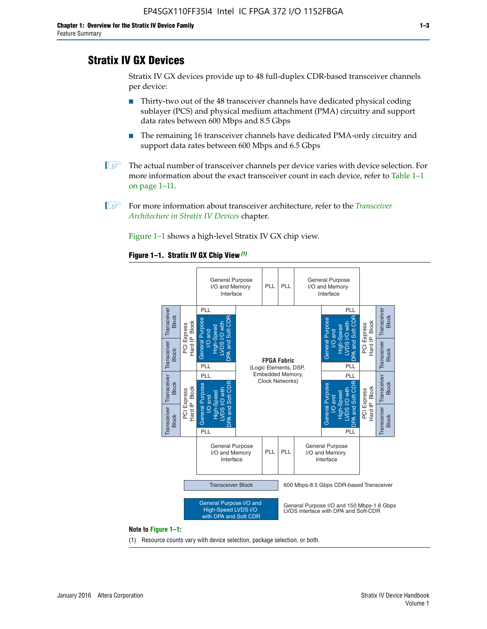## **Stratix IV GX Devices**

Stratix IV GX devices provide up to 48 full-duplex CDR-based transceiver channels per device:

- Thirty-two out of the 48 transceiver channels have dedicated physical coding sublayer (PCS) and physical medium attachment (PMA) circuitry and support data rates between 600 Mbps and 8.5 Gbps
- The remaining 16 transceiver channels have dedicated PMA-only circuitry and support data rates between 600 Mbps and 6.5 Gbps
- **1 The actual number of transceiver channels per device varies with device selection. For** more information about the exact transceiver count in each device, refer to Table 1–1 on page 1–11.
- 1 For more information about transceiver architecture, refer to the *[Transceiver](http://www.altera.com/literature/hb/stratix-iv/stx4_siv52001.pdf)  [Architecture in Stratix IV Devices](http://www.altera.com/literature/hb/stratix-iv/stx4_siv52001.pdf)* chapter.

Figure 1–1 shows a high-level Stratix IV GX chip view.

#### **Figure 1–1. Stratix IV GX Chip View** *(1)*



#### **Note to Figure 1–1:**

(1) Resource counts vary with device selection, package selection, or both.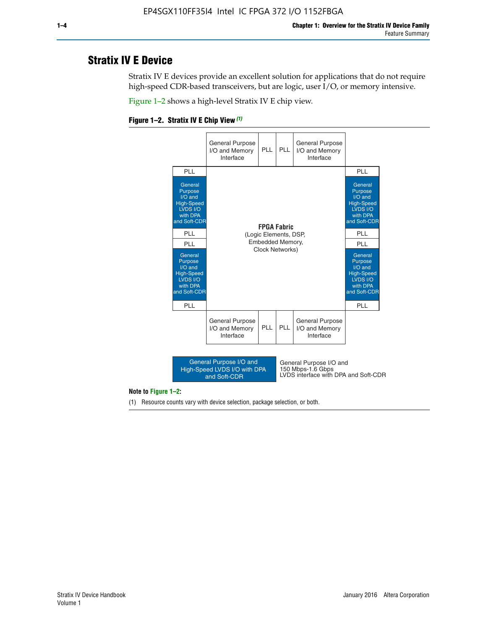## **Stratix IV E Device**

Stratix IV E devices provide an excellent solution for applications that do not require high-speed CDR-based transceivers, but are logic, user I/O, or memory intensive.

Figure 1–2 shows a high-level Stratix IV E chip view.





#### **Note to Figure 1–2:**

(1) Resource counts vary with device selection, package selection, or both.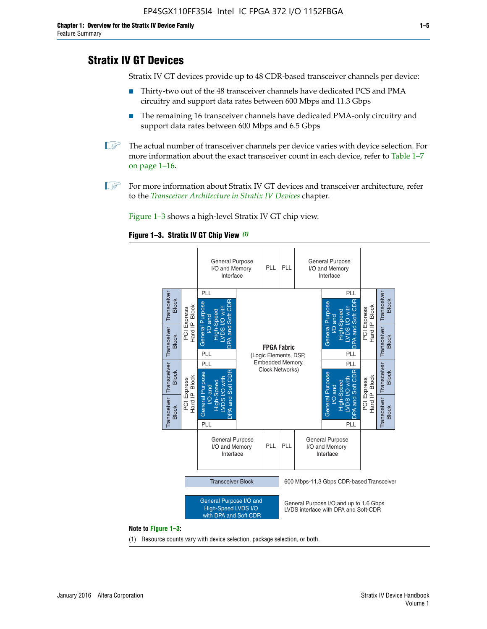## **Stratix IV GT Devices**

Stratix IV GT devices provide up to 48 CDR-based transceiver channels per device:

- Thirty-two out of the 48 transceiver channels have dedicated PCS and PMA circuitry and support data rates between 600 Mbps and 11.3 Gbps
- The remaining 16 transceiver channels have dedicated PMA-only circuitry and support data rates between 600 Mbps and 6.5 Gbps
- **1** The actual number of transceiver channels per device varies with device selection. For more information about the exact transceiver count in each device, refer to Table 1–7 on page 1–16.
- $\mathbb{I}$  For more information about Stratix IV GT devices and transceiver architecture, refer to the *[Transceiver Architecture in Stratix IV Devices](http://www.altera.com/literature/hb/stratix-iv/stx4_siv52001.pdf)* chapter.

Figure 1–3 shows a high-level Stratix IV GT chip view.

#### **Figure 1–3. Stratix IV GT Chip View** *(1)*



(1) Resource counts vary with device selection, package selection, or both.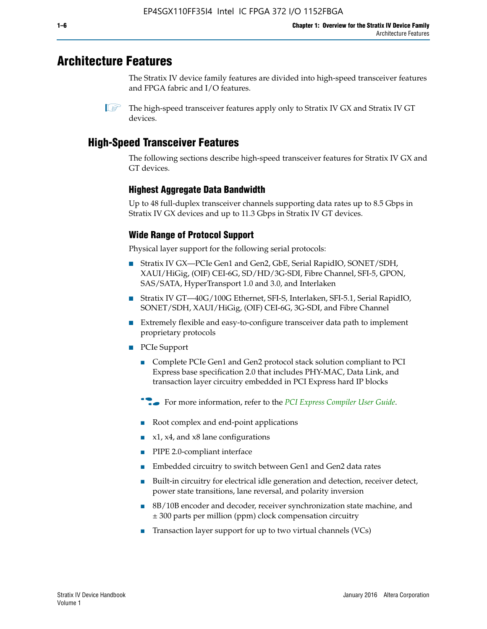## **Architecture Features**

The Stratix IV device family features are divided into high-speed transceiver features and FPGA fabric and I/O features.

 $\mathbb{I}$  The high-speed transceiver features apply only to Stratix IV GX and Stratix IV GT devices.

## **High-Speed Transceiver Features**

The following sections describe high-speed transceiver features for Stratix IV GX and GT devices.

## **Highest Aggregate Data Bandwidth**

Up to 48 full-duplex transceiver channels supporting data rates up to 8.5 Gbps in Stratix IV GX devices and up to 11.3 Gbps in Stratix IV GT devices.

## **Wide Range of Protocol Support**

Physical layer support for the following serial protocols:

- Stratix IV GX—PCIe Gen1 and Gen2, GbE, Serial RapidIO, SONET/SDH, XAUI/HiGig, (OIF) CEI-6G, SD/HD/3G-SDI, Fibre Channel, SFI-5, GPON, SAS/SATA, HyperTransport 1.0 and 3.0, and Interlaken
- Stratix IV GT—40G/100G Ethernet, SFI-S, Interlaken, SFI-5.1, Serial RapidIO, SONET/SDH, XAUI/HiGig, (OIF) CEI-6G, 3G-SDI, and Fibre Channel
- Extremely flexible and easy-to-configure transceiver data path to implement proprietary protocols
- PCIe Support
	- Complete PCIe Gen1 and Gen2 protocol stack solution compliant to PCI Express base specification 2.0 that includes PHY-MAC, Data Link, and transaction layer circuitry embedded in PCI Express hard IP blocks
	- **For more information, refer to the [PCI Express Compiler User Guide](http://www.altera.com/literature/ug/ug_pci_express.pdf).**
	- Root complex and end-point applications
	- $x1, x4,$  and  $x8$  lane configurations
	- PIPE 2.0-compliant interface
	- Embedded circuitry to switch between Gen1 and Gen2 data rates
	- Built-in circuitry for electrical idle generation and detection, receiver detect, power state transitions, lane reversal, and polarity inversion
	- 8B/10B encoder and decoder, receiver synchronization state machine, and ± 300 parts per million (ppm) clock compensation circuitry
	- Transaction layer support for up to two virtual channels (VCs)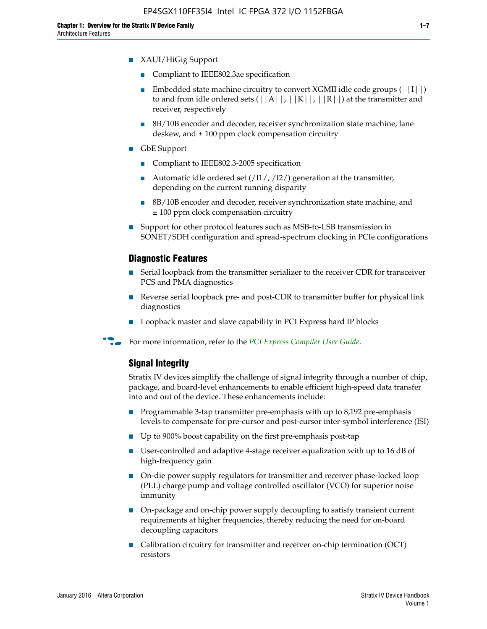- Compliant to IEEE802.3ae specification
- **■** Embedded state machine circuitry to convert XGMII idle code groups  $(|11|)$ to and from idle ordered sets  $(|A|, |K|, |R|)$  at the transmitter and receiver, respectively
- 8B/10B encoder and decoder, receiver synchronization state machine, lane deskew, and  $\pm 100$  ppm clock compensation circuitry
- GbE Support
	- Compliant to IEEE802.3-2005 specification
	- Automatic idle ordered set  $(111/112/1)$  generation at the transmitter, depending on the current running disparity
	- 8B/10B encoder and decoder, receiver synchronization state machine, and ± 100 ppm clock compensation circuitry
- Support for other protocol features such as MSB-to-LSB transmission in SONET/SDH configuration and spread-spectrum clocking in PCIe configurations

#### **Diagnostic Features**

- Serial loopback from the transmitter serializer to the receiver CDR for transceiver PCS and PMA diagnostics
- Reverse serial loopback pre- and post-CDR to transmitter buffer for physical link diagnostics
- Loopback master and slave capability in PCI Express hard IP blocks
- **For more information, refer to the** *[PCI Express Compiler User Guide](http://www.altera.com/literature/ug/ug_pci_express.pdf)***.**

#### **Signal Integrity**

Stratix IV devices simplify the challenge of signal integrity through a number of chip, package, and board-level enhancements to enable efficient high-speed data transfer into and out of the device. These enhancements include:

- Programmable 3-tap transmitter pre-emphasis with up to 8,192 pre-emphasis levels to compensate for pre-cursor and post-cursor inter-symbol interference (ISI)
- Up to 900% boost capability on the first pre-emphasis post-tap
- User-controlled and adaptive 4-stage receiver equalization with up to 16 dB of high-frequency gain
- On-die power supply regulators for transmitter and receiver phase-locked loop (PLL) charge pump and voltage controlled oscillator (VCO) for superior noise immunity
- On-package and on-chip power supply decoupling to satisfy transient current requirements at higher frequencies, thereby reducing the need for on-board decoupling capacitors
- Calibration circuitry for transmitter and receiver on-chip termination (OCT) resistors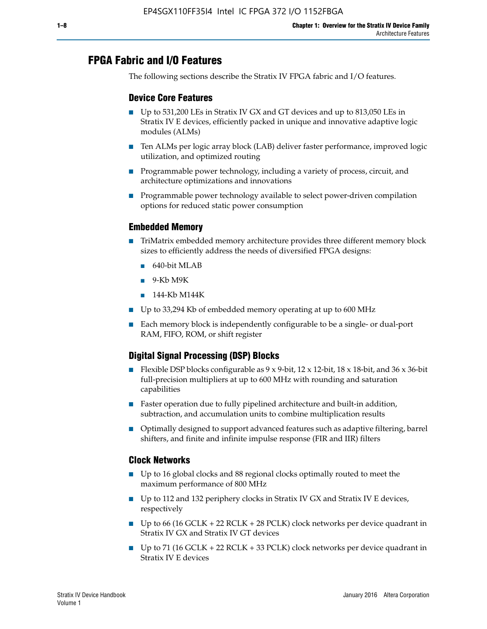## **FPGA Fabric and I/O Features**

The following sections describe the Stratix IV FPGA fabric and I/O features.

## **Device Core Features**

- Up to 531,200 LEs in Stratix IV GX and GT devices and up to 813,050 LEs in Stratix IV E devices, efficiently packed in unique and innovative adaptive logic modules (ALMs)
- Ten ALMs per logic array block (LAB) deliver faster performance, improved logic utilization, and optimized routing
- Programmable power technology, including a variety of process, circuit, and architecture optimizations and innovations
- Programmable power technology available to select power-driven compilation options for reduced static power consumption

#### **Embedded Memory**

- TriMatrix embedded memory architecture provides three different memory block sizes to efficiently address the needs of diversified FPGA designs:
	- 640-bit MLAB
	- 9-Kb M9K
	- 144-Kb M144K
- Up to 33,294 Kb of embedded memory operating at up to 600 MHz
- Each memory block is independently configurable to be a single- or dual-port RAM, FIFO, ROM, or shift register

## **Digital Signal Processing (DSP) Blocks**

- Flexible DSP blocks configurable as  $9 \times 9$ -bit,  $12 \times 12$ -bit,  $18 \times 18$ -bit, and  $36 \times 36$ -bit full-precision multipliers at up to 600 MHz with rounding and saturation capabilities
- Faster operation due to fully pipelined architecture and built-in addition, subtraction, and accumulation units to combine multiplication results
- Optimally designed to support advanced features such as adaptive filtering, barrel shifters, and finite and infinite impulse response (FIR and IIR) filters

#### **Clock Networks**

- Up to 16 global clocks and 88 regional clocks optimally routed to meet the maximum performance of 800 MHz
- Up to 112 and 132 periphery clocks in Stratix IV GX and Stratix IV E devices, respectively
- Up to 66 (16 GCLK + 22 RCLK + 28 PCLK) clock networks per device quadrant in Stratix IV GX and Stratix IV GT devices
- Up to 71 (16 GCLK + 22 RCLK + 33 PCLK) clock networks per device quadrant in Stratix IV E devices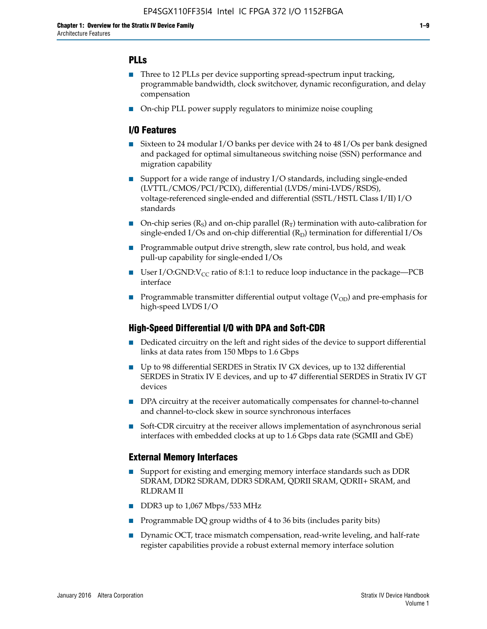## **PLLs**

- Three to 12 PLLs per device supporting spread-spectrum input tracking, programmable bandwidth, clock switchover, dynamic reconfiguration, and delay compensation
- On-chip PLL power supply regulators to minimize noise coupling

### **I/O Features**

- Sixteen to 24 modular I/O banks per device with 24 to 48 I/Os per bank designed and packaged for optimal simultaneous switching noise (SSN) performance and migration capability
- Support for a wide range of industry I/O standards, including single-ended (LVTTL/CMOS/PCI/PCIX), differential (LVDS/mini-LVDS/RSDS), voltage-referenced single-ended and differential (SSTL/HSTL Class I/II) I/O standards
- **O**n-chip series  $(R_S)$  and on-chip parallel  $(R_T)$  termination with auto-calibration for single-ended I/Os and on-chip differential  $(R_D)$  termination for differential I/Os
- Programmable output drive strength, slew rate control, bus hold, and weak pull-up capability for single-ended I/Os
- User I/O:GND: $V_{CC}$  ratio of 8:1:1 to reduce loop inductance in the package—PCB interface
- **■** Programmable transmitter differential output voltage ( $V_{OD}$ ) and pre-emphasis for high-speed LVDS I/O

#### **High-Speed Differential I/O with DPA and Soft-CDR**

- Dedicated circuitry on the left and right sides of the device to support differential links at data rates from 150 Mbps to 1.6 Gbps
- Up to 98 differential SERDES in Stratix IV GX devices, up to 132 differential SERDES in Stratix IV E devices, and up to 47 differential SERDES in Stratix IV GT devices
- DPA circuitry at the receiver automatically compensates for channel-to-channel and channel-to-clock skew in source synchronous interfaces
- Soft-CDR circuitry at the receiver allows implementation of asynchronous serial interfaces with embedded clocks at up to 1.6 Gbps data rate (SGMII and GbE)

#### **External Memory Interfaces**

- Support for existing and emerging memory interface standards such as DDR SDRAM, DDR2 SDRAM, DDR3 SDRAM, QDRII SRAM, QDRII+ SRAM, and RLDRAM II
- DDR3 up to 1,067 Mbps/533 MHz
- Programmable DQ group widths of 4 to 36 bits (includes parity bits)
- Dynamic OCT, trace mismatch compensation, read-write leveling, and half-rate register capabilities provide a robust external memory interface solution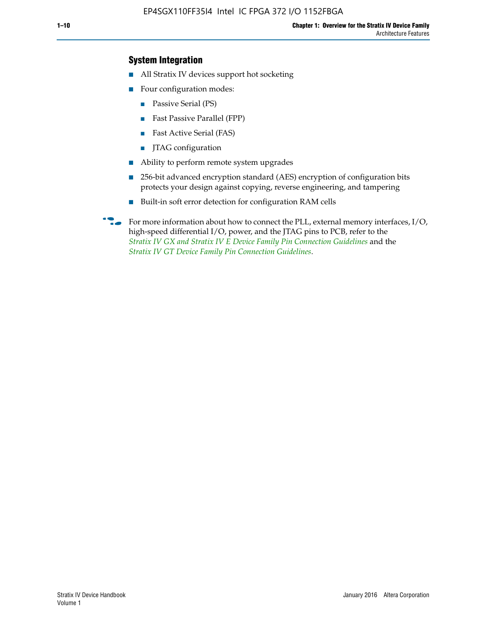## **System Integration**

- All Stratix IV devices support hot socketing
- Four configuration modes:
	- Passive Serial (PS)
	- Fast Passive Parallel (FPP)
	- Fast Active Serial (FAS)
	- JTAG configuration
- Ability to perform remote system upgrades
- 256-bit advanced encryption standard (AES) encryption of configuration bits protects your design against copying, reverse engineering, and tampering
- Built-in soft error detection for configuration RAM cells
- For more information about how to connect the PLL, external memory interfaces,  $I/O$ , high-speed differential I/O, power, and the JTAG pins to PCB, refer to the *[Stratix IV GX and Stratix IV E Device Family Pin Connection Guidelines](http://www.altera.com/literature/dp/stratix4/PCG-01005.pdf)* and the *[Stratix IV GT Device Family Pin Connection Guidelines](http://www.altera.com/literature/dp/stratix4/PCG-01006.pdf)*.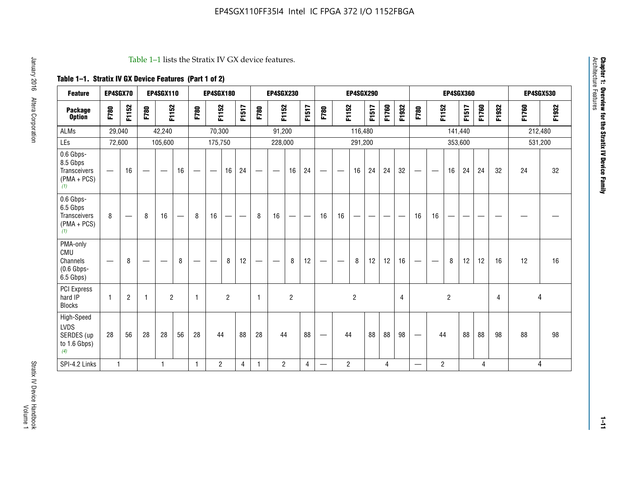#### Table 1–1 lists the Stratix IV GX device features.

## **Table 1–1. Stratix IV GX Device Features (Part 1 of 2)**

| <b>Feature</b>                                                       | <b>EP4SGX70</b>          |                |                                  | <b>EP4SGX110</b> |                   |                                | <b>EP4SGX180</b>                |                |       |                          | <b>EP4SGX230</b>  |                |                         |                                 |                               | <b>EP4SGX290</b> |       |       |       |                                 |                |                | <b>EP4SGX360</b> |                |       | <b>EP4SGX530</b> |         |  |
|----------------------------------------------------------------------|--------------------------|----------------|----------------------------------|------------------|-------------------|--------------------------------|---------------------------------|----------------|-------|--------------------------|-------------------|----------------|-------------------------|---------------------------------|-------------------------------|------------------|-------|-------|-------|---------------------------------|----------------|----------------|------------------|----------------|-------|------------------|---------|--|
| <b>Package</b><br><b>Option</b>                                      | F780                     | F1152          | F780                             | F1152            |                   | F780                           | F1152                           |                | F1517 | F780                     | F1152             |                | F1517                   | F780                            | F1152                         |                  | F1517 | F1760 | F1932 | F780                            | F1152          |                | F1517            | F1760          | F1932 | F1760            | F1932   |  |
| <b>ALMs</b>                                                          | 29,040                   |                |                                  | 42,240           |                   |                                | 70,300                          |                |       |                          | 91,200            |                |                         |                                 |                               | 116,480          |       |       |       |                                 |                |                | 141,440          |                |       |                  | 212,480 |  |
| LEs                                                                  | 72,600                   |                |                                  | 105,600          |                   |                                | 175,750                         |                |       |                          | 228,000           |                |                         |                                 |                               | 291,200          |       |       |       |                                 |                |                | 353,600          |                |       |                  | 531,200 |  |
| 0.6 Gbps-<br>8.5 Gbps<br><b>Transceivers</b><br>$(PMA + PCs)$<br>(1) | $\overline{\phantom{0}}$ | 16             | $\overbrace{\phantom{12322111}}$ |                  | 16                | -                              | $\hspace{0.1mm}-\hspace{0.1mm}$ | 16             | 24    |                          | $\hspace{0.05cm}$ | 16             | 24                      | $\hspace{0.1mm}-\hspace{0.1mm}$ | $\overbrace{\phantom{aaaaa}}$ | 16               | 24    | 24    | 32    | $\hspace{0.1mm}-\hspace{0.1mm}$ |                | 16             | 24               | 24             | 32    | 24               | 32      |  |
| 0.6 Gbps-<br>6.5 Gbps<br>Transceivers<br>$(PMA + PCs)$<br>(1)        | 8                        |                | 8                                | 16               | $\hspace{0.05cm}$ | 8                              | 16                              | -              | —     | 8                        | 16                | --             |                         | 16                              | 16                            |                  |       |       |       | 16                              | 16             |                |                  |                |       |                  |         |  |
| PMA-only<br>CMU<br>Channels<br>$(0.6$ Gbps-<br>6.5 Gbps)             | $\hspace{0.05cm}$        | 8              |                                  | __               | 8                 | $\qquad \qquad \longleftarrow$ | $\hspace{0.05cm}$               | 8              | 12    | $\overline{\phantom{0}}$ |                   | 8              | 12                      | $\hspace{0.1mm}-\hspace{0.1mm}$ | $\qquad \qquad$               | 8                | 12    | 12    | 16    | $\hspace{0.05cm}$               |                | 8              | 12               | 12             | 16    | 12               | 16      |  |
| <b>PCI Express</b><br>hard IP<br><b>Blocks</b>                       | $\mathbf{1}$             | $\overline{2}$ | -1                               | $\overline{2}$   |                   | 1                              |                                 | $\overline{2}$ |       | $\mathbf{1}$             |                   | $\overline{2}$ |                         |                                 |                               | $\overline{2}$   |       |       | 4     |                                 |                | $\overline{2}$ |                  |                | 4     |                  | 4       |  |
| High-Speed<br><b>LVDS</b><br>SERDES (up<br>to 1.6 Gbps)<br>(4)       | 28                       | 56             | 28                               | 28               | 56                | 28                             | 44                              |                | 88    | 28                       | 44                |                | 88                      | $\hspace{0.1mm}-\hspace{0.1mm}$ | 44                            |                  | 88    | 88    | 98    | $\hspace{0.1mm}-\hspace{0.1mm}$ | 44             |                | 88               | 88             | 98    | 88               | 98      |  |
| SPI-4.2 Links                                                        | $\mathbf{1}$             |                |                                  | 1                |                   | $\mathbf{1}$                   | $\overline{2}$                  |                | 4     | $\mathbf{1}$             | $\overline{2}$    |                | $\overline{\mathbf{4}}$ | $\overline{\phantom{0}}$        | $\overline{2}$                |                  |       | 4     |       |                                 | $\overline{2}$ |                |                  | $\overline{4}$ |       |                  | 4       |  |

Architecture Features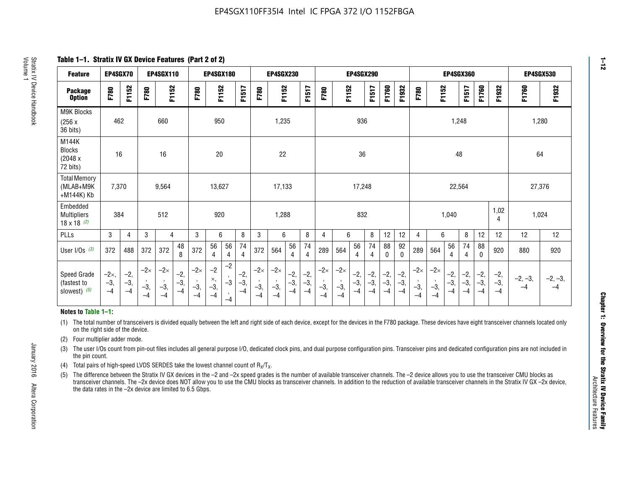**Table 1–1. Stratix IV GX Device Features (Part 2 of 2)**

| <b>Feature</b>                                       | EP4SGX70                |                        |                             | <b>EP4SGX110</b>            |                      |                             | <b>EP4SGX180</b>          |                      |                        |                             | <b>EP4SGX230</b>            |                      |                        |                             |                             | <b>EP4SGX290</b>       |                      |                        |                      |                             |                             |                        | <b>EP4SGX360</b>       |                        |                        | <b>EP4SGX530</b>  |                   |
|------------------------------------------------------|-------------------------|------------------------|-----------------------------|-----------------------------|----------------------|-----------------------------|---------------------------|----------------------|------------------------|-----------------------------|-----------------------------|----------------------|------------------------|-----------------------------|-----------------------------|------------------------|----------------------|------------------------|----------------------|-----------------------------|-----------------------------|------------------------|------------------------|------------------------|------------------------|-------------------|-------------------|
| <b>Package</b><br><b>Option</b>                      | F780                    | F1152                  | F780                        | F1152                       |                      | F780                        | F1152                     |                      | F1517                  | F780                        | F1152                       |                      | F1517                  | F780                        | F1152                       |                        | F1517                | F1760                  | F1932                | F780                        | F1152                       |                        | F1517                  | F1760                  | F1932                  | F1760             | F1932             |
| M9K Blocks<br>(256x)<br>36 bits)                     | 462                     |                        |                             | 660                         |                      |                             | 950                       |                      |                        |                             | 1,235                       |                      |                        |                             |                             | 936                    |                      |                        |                      |                             |                             | 1,248                  |                        |                        |                        | 1,280             |                   |
| M144K<br>Blocks<br>(2048 x<br>72 bits)               | 16                      |                        |                             | 16                          |                      |                             | $20\,$                    |                      |                        |                             | 22                          |                      |                        |                             |                             | 36                     |                      |                        |                      |                             |                             | 48                     |                        |                        |                        | 64                |                   |
| <b>Total Memory</b><br>(MLAB+M9K<br>+M144K) Kb       | 7,370                   |                        |                             | 9,564                       |                      |                             | 13,627                    |                      |                        |                             | 17,133                      |                      |                        |                             | 17,248<br>22,564            |                        |                      |                        | 27,376               |                             |                             |                        |                        |                        |                        |                   |                   |
| Embedded<br><b>Multipliers</b><br>$18 \times 18$ (2) | 384                     |                        |                             | 512                         |                      |                             | 920                       |                      |                        |                             | 1,288                       |                      |                        |                             |                             | 832                    |                      |                        |                      |                             |                             | 1,040                  |                        |                        | 1,02<br>4              | 1,024             |                   |
| PLLs                                                 | 3                       | 4                      | 3                           | 4                           |                      | 3                           | 6                         |                      | 8                      | 3                           | 6                           |                      | 8                      | $\overline{4}$              | 6                           |                        | 8                    | 12                     | 12                   | 4                           | 6                           |                        | 8                      | 12                     | 12                     | 12                | 12                |
| User I/Os $(3)$                                      | 372                     | 488                    | 372                         | 372                         | 48<br>8              | 372                         | 56<br>4                   | 56<br>4              | 74<br>4                | 372                         | 564                         | 56<br>4              | 74<br>$\overline{4}$   | 289                         | 564                         | 56<br>4                | 74<br>4              | 88<br>0                | 92<br>$\mathbf{0}$   | 289                         | 564                         | 56<br>4                | 74<br>4                | 88<br>0                | 920                    | 880               | 920               |
| Speed Grade<br>(fastest to<br>slowest) (5)           | $-2x,$<br>$-3,$<br>$-4$ | $-2,$<br>$-3,$<br>$-4$ | $-2\times$<br>$-3,$<br>$-4$ | $-2\times$<br>$-3,$<br>$-4$ | $-2,$<br>-3,<br>$-4$ | $-2\times$<br>$-3,$<br>$-4$ | $-2$<br>×,<br>$-3,$<br>-4 | $-2$<br>$-3$<br>$-4$ | $-2,$<br>$-3,$<br>$-4$ | $-2\times$<br>$-3,$<br>$-4$ | $-2\times$<br>$-3,$<br>$-4$ | $-2,$<br>-3,<br>$-4$ | $-2,$<br>$-3,$<br>$-4$ | $-2\times$<br>$-3,$<br>$-4$ | $-2\times$<br>$-3,$<br>$-4$ | $-2,$<br>$-3,$<br>$-4$ | $-2,$<br>-3,<br>$-4$ | $-2,$<br>$-3,$<br>$-4$ | $-2,$<br>-3,<br>$-4$ | $-2\times$<br>$-3,$<br>$-4$ | $-2\times$<br>$-3,$<br>$-4$ | $-2,$<br>$-3,$<br>$-4$ | $-2,$<br>$-3,$<br>$-4$ | $-2,$<br>$-3,$<br>$-4$ | $-2,$<br>$-3,$<br>$-4$ | $-2, -3,$<br>$-4$ | $-2, -3,$<br>$-4$ |

#### **Notes to Table 1–1:**

(1) The total number of transceivers is divided equally between the left and right side of each device, except for the devices in the F780 package. These devices have eight transceiver channels located only on the right side of the device.

- (2) Four multiplier adder mode.
- (3) The user I/Os count from pin-out files includes all general purpose I/O, dedicated clock pins, and dual purpose configuration pins. Transceiver pins and dedicated configuration pins are not included in the pin count.
- (4) Total pairs of high-speed LVDS SERDES take the lowest channel count of  $R_X/T_X$ .
- (5) The difference between the Stratix IV GX devices in the –2 and –2x speed grades is the number of available transceiver channels. The –2 device allows you to use the transceiver CMU blocks as transceiver channels. The –2x device does NOT allow you to use the CMU blocks as transceiver channels. In addition to the reduction of available transceiver channels in the Stratix IV GX –2x device, the data rates in the –2x device are limited to 6.5 Gbps.

January 2016 Altera Corporation

Altera Corporation

January 2016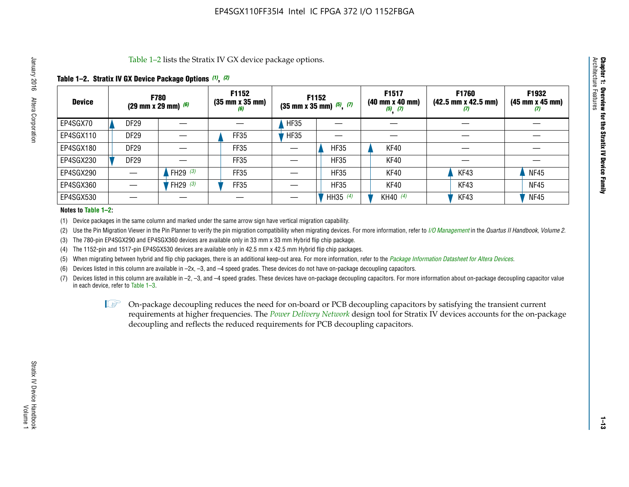Table 1–2 lists the Stratix IV GX device package options.

#### **Table 1–2. Stratix IV GX Device Package Options** *(1)***,** *(2)*

| <b>Device</b> |                  | <b>F780</b><br>(29 mm x 29 mm) $(6)$ | F1152<br>$(35 \, \text{mm} \times 35 \, \text{mm})$<br>(6) |             | <b>F1152</b><br>$(35 \text{ mm} \times 35 \text{ mm})$ $(5)$ , $(7)$ | F1517<br>(40 mm x 40 mm)<br>$(5)$ $(7)$ | <b>F1760</b><br>$(42.5 \text{ mm} \times 42.5 \text{ mm})$<br>Ш | F1932<br>(45 mm x 45 mm)<br>(7) |
|---------------|------------------|--------------------------------------|------------------------------------------------------------|-------------|----------------------------------------------------------------------|-----------------------------------------|-----------------------------------------------------------------|---------------------------------|
| EP4SGX70      | <b>DF29</b>      |                                      |                                                            | <b>HF35</b> |                                                                      |                                         |                                                                 |                                 |
| EP4SGX110     | DF <sub>29</sub> |                                      | FF35                                                       | <b>HF35</b> |                                                                      |                                         |                                                                 |                                 |
| EP4SGX180     | DF29             |                                      | FF35                                                       |             | <b>HF35</b>                                                          | KF40                                    |                                                                 |                                 |
| EP4SGX230     | DF <sub>29</sub> |                                      | FF35                                                       |             | <b>HF35</b>                                                          | KF40                                    |                                                                 |                                 |
| EP4SGX290     |                  | FH29 $(3)$                           | FF35                                                       |             | <b>HF35</b>                                                          | KF40                                    | KF43                                                            | <b>NF45</b>                     |
| EP4SGX360     |                  | FH29 $(3)$                           | FF35                                                       |             | <b>HF35</b>                                                          | KF40                                    | KF43                                                            | <b>NF45</b>                     |
| EP4SGX530     |                  |                                      |                                                            |             | HH35 (4)                                                             | KH40 (4)                                | KF43                                                            | <b>NF45</b>                     |

#### **Notes to Table 1–2:**

(1) Device packages in the same column and marked under the same arrow sign have vertical migration capability.

(2) Use the Pin Migration Viewer in the Pin Planner to verify the pin migration compatibility when migrating devices. For more information, refer to *[I/O Management](http://www.altera.com/literature/hb/qts/qts_qii52013.pdf)* in the *Quartus II Handbook, Volume 2*.

(3) The 780-pin EP4SGX290 and EP4SGX360 devices are available only in 33 mm x 33 mm Hybrid flip chip package.

(4) The 1152-pin and 1517-pin EP4SGX530 devices are available only in 42.5 mm x 42.5 mm Hybrid flip chip packages.

(5) When migrating between hybrid and flip chip packages, there is an additional keep-out area. For more information, refer to the *[Package Information Datasheet for Altera Devices](http://www.altera.com/literature/ds/dspkg.pdf)*.

(6) Devices listed in this column are available in –2x, –3, and –4 speed grades. These devices do not have on-package decoupling capacitors.

(7) Devices listed in this column are available in –2, –3, and –4 speed grades. These devices have on-package decoupling capacitors. For more information about on-package decoupling capacitor value in each device, refer to Table 1–3.

 $\mathbb{L}$ s On-package decoupling reduces the need for on-board or PCB decoupling capacitors by satisfying the transient current requirements at higher frequencies. The *[Power Delivery Network](http://www.altera.com/literature/ug/pdn_tool_stxiv.zip)* design tool for Stratix IV devices accounts for the on-package decoupling and reflects the reduced requirements for PCB decoupling capacitors.

**Chapter 1: Overview for the Stratix IV Device Family**

Chapter 1: Overview for the Stratix IV Device Family<br>Architecture Features

Architecture Features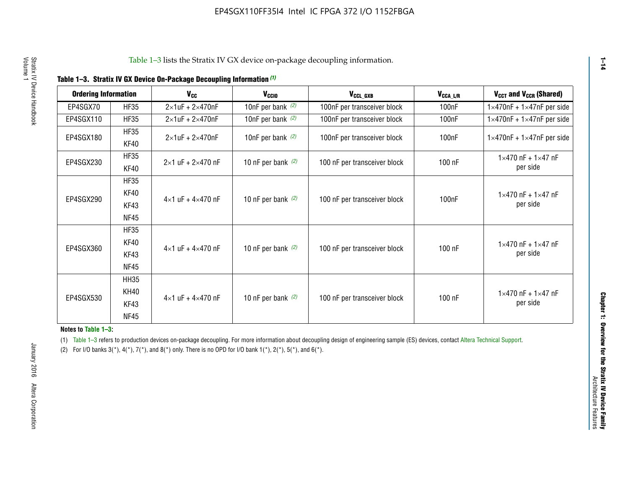| <b>Ordering Information</b> |                     | <b>V<sub>cc</sub></b>               | V <sub>ccio</sub>    | V <sub>CCL GXB</sub>         | V <sub>CCA_L/R</sub> | V <sub>CCT</sub> and V <sub>CCR</sub> (Shared)   |
|-----------------------------|---------------------|-------------------------------------|----------------------|------------------------------|----------------------|--------------------------------------------------|
| EP4SGX70                    | <b>HF35</b>         | $2\times1$ uF + $2\times470$ nF     | 10nF per bank $(2)$  | 100nF per transceiver block  | 100 <sub>n</sub> F   | $1 \times 470$ nF + $1 \times 47$ nF per side    |
| EP4SGX110                   | <b>HF35</b>         | $2\times1$ uF + $2\times470$ nF     | 10nF per bank $(2)$  | 100nF per transceiver block  | 100 <sub>n</sub> F   | $1\times470$ nF + $1\times47$ nF per side        |
| EP4SGX180                   | <b>HF35</b><br>KF40 | $2\times1$ uF + $2\times470$ nF     | 10nF per bank $(2)$  | 100nF per transceiver block  | 100 <sub>n</sub> F   | $1 \times 470$ nF + $1 \times 47$ nF per side    |
| EP4SGX230                   | <b>HF35</b><br>KF40 | $2 \times 1$ uF + $2 \times 470$ nF | 10 nF per bank $(2)$ | 100 nF per transceiver block | 100 nF               | $1 \times 470$ nF + $1 \times 47$ nF<br>per side |
|                             | <b>HF35</b><br>KF40 |                                     |                      |                              |                      | $1 \times 470$ nF + $1 \times 47$ nF             |
| EP4SGX290                   | KF43<br><b>NF45</b> | $4 \times 1$ uF + $4 \times 470$ nF | 10 nF per bank $(2)$ | 100 nF per transceiver block | 100nF                | per side                                         |
|                             | <b>HF35</b><br>KF40 |                                     |                      |                              |                      | $1 \times 470$ nF + $1 \times 47$ nF             |
| EP4SGX360                   | KF43<br><b>NF45</b> | $4 \times 1$ uF + $4 \times 470$ nF | 10 nF per bank $(2)$ | 100 nF per transceiver block | 100 nF               | per side                                         |
|                             | <b>HH35</b>         |                                     |                      |                              |                      |                                                  |
| EP4SGX530                   | <b>KH40</b><br>KF43 | $4 \times 1$ uF + $4 \times 470$ nF | 10 nF per bank $(2)$ | 100 nF per transceiver block | 100 nF               | $1 \times 470$ nF + $1 \times 47$ nF<br>per side |
|                             | <b>NF45</b>         |                                     |                      |                              |                      |                                                  |

**Notes to Table 1–3:**

(1) Table 1-3 refers to production devices on-package decoupling. For more information about decoupling design of engineering sample (ES) devices, contact [Altera Technical Support](http://mysupport.altera.com/eservice/login.asp).

(2) For I/O banks  $3(*)$ ,  $4(*)$ ,  $7(*)$ , and  $8(*)$  only. There is no OPD for I/O bank  $1(*)$ ,  $2(*)$ ,  $5(*)$ , and  $6(*)$ .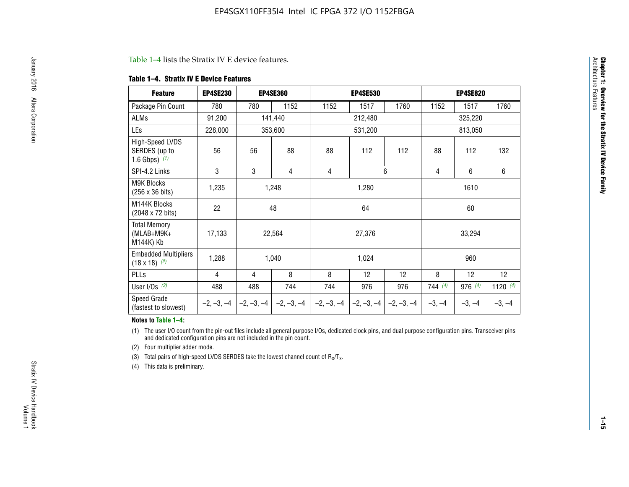#### Table 1–4 lists the Stratix IV E device features.

#### **Table 1–4. Stratix IV E Device Features**

| <b>Feature</b>                                      | <b>EP4SE230</b> |     | <b>EP4SE360</b>                          |              | <b>EP4SE530</b> |              |          | <b>EP4SE820</b> |            |
|-----------------------------------------------------|-----------------|-----|------------------------------------------|--------------|-----------------|--------------|----------|-----------------|------------|
| Package Pin Count                                   | 780             | 780 | 1152                                     | 1152         | 1517            | 1760         | 1152     | 1517            | 1760       |
| ALMs                                                | 91,200          |     | 141,440                                  |              | 212,480         |              |          | 325,220         |            |
| LEs                                                 | 228,000         |     | 353,600                                  |              | 531,200         |              |          | 813,050         |            |
| High-Speed LVDS<br>SERDES (up to<br>1.6 Gbps) $(1)$ | 56              | 56  | 88                                       | 88           | 112             | 112          | 88       | 112             | 132        |
| SPI-4.2 Links                                       | 3               | 3   | 4                                        | 4            |                 | 6            | 4        | 6               | 6          |
| <b>M9K Blocks</b><br>(256 x 36 bits)                | 1,235           |     | 1,248                                    |              | 1,280           |              |          | 1610            |            |
| M144K Blocks<br>(2048 x 72 bits)                    | 22              |     | 48                                       |              | 64              |              |          | 60              |            |
| <b>Total Memory</b><br>$(MLAB+M9K+$<br>M144K) Kb    | 17,133          |     | 22,564                                   |              | 27,376          |              |          | 33,294          |            |
| <b>Embedded Multipliers</b><br>$(18 \times 18)$ (2) | 1,288           |     | 1,040                                    |              | 1,024           |              |          | 960             |            |
| PLLs                                                | 4               | 4   | 8                                        | 8            | 12              | 12           | 8        | 12              | 12         |
| User I/Os $(3)$                                     | 488             | 488 | 744                                      | 744          | 976             | 976          | 744(4)   | 976 (4)         | 1120 $(4)$ |
| Speed Grade<br>(fastest to slowest)                 |                 |     | $-2, -3, -4$ $ -2, -3, -4$ $ -2, -3, -4$ | $-2, -3, -4$ | $-2, -3, -4$    | $-2, -3, -4$ | $-3, -4$ | $-3, -4$        | $-3, -4$   |

#### **Notes to Table 1–4:**

(1) The user I/O count from the pin-out files include all general purpose I/Os, dedicated clock pins, and dual purpose configuration pins. Transceiver pins and dedicated configuration pins are not included in the pin count.

(2) Four multiplier adder mode.

(3) Total pairs of high-speed LVDS SERDES take the lowest channel count of  $R_X/T_X$ .

(4) This data is preliminary.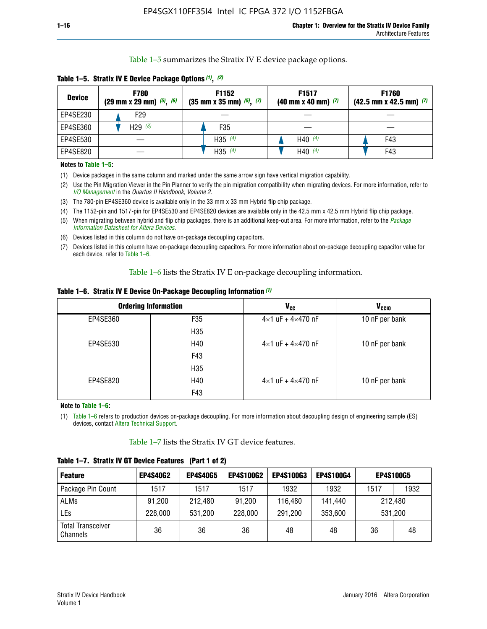Table 1–5 summarizes the Stratix IV E device package options.

| <b>Device</b> | <b>F780</b><br>$(29 \text{ mm} \times 29 \text{ mm})$ $(5)$ , $(6)$ | F1152<br>$(35 \text{ mm} \times 35 \text{ mm})$ $(5)$ $(7)$ | F <sub>1517</sub><br>$(40 \text{ mm} \times 40 \text{ mm})$ (7) | <b>F1760</b><br>$(42.5$ mm x 42.5 mm) $(7)$ |
|---------------|---------------------------------------------------------------------|-------------------------------------------------------------|-----------------------------------------------------------------|---------------------------------------------|
| EP4SE230      | F <sub>29</sub>                                                     |                                                             |                                                                 |                                             |
| EP4SE360      | H29 $(3)$                                                           | F35                                                         |                                                                 |                                             |
| EP4SE530      |                                                                     | H35 $(4)$                                                   | H40 $(4)$                                                       | F43                                         |
| EP4SE820      |                                                                     | H35 $(4)$                                                   | H40 $(4)$                                                       | F43                                         |

**Table 1–5. Stratix IV E Device Package Options** *(1)***,** *(2)*

#### **Notes to Table 1–5:**

(1) Device packages in the same column and marked under the same arrow sign have vertical migration capability.

(2) Use the Pin Migration Viewer in the Pin Planner to verify the pin migration compatibility when migrating devices. For more information, refer to *[I/O Management](http://www.altera.com/literature/hb/qts/qts_qii52013.pdf)* in the *Quartus II Handbook, Volume 2*.

(3) The 780-pin EP4SE360 device is available only in the 33 mm x 33 mm Hybrid flip chip package.

(4) The 1152-pin and 1517-pin for EP4SE530 and EP4SE820 devices are available only in the 42.5 mm x 42.5 mm Hybrid flip chip package.

(5) When migrating between hybrid and flip chip packages, there is an additional keep-out area. For more information, refer to the *[Package](http://www.altera.com/literature/ds/dspkg.pdf)  [Information Datasheet for Altera Devices](http://www.altera.com/literature/ds/dspkg.pdf)*.

(6) Devices listed in this column do not have on-package decoupling capacitors.

(7) Devices listed in this column have on-package decoupling capacitors. For more information about on-package decoupling capacitor value for each device, refer to Table 1–6.

Table 1–6 lists the Stratix IV E on-package decoupling information.

| Table 1–6. Stratix IV E Device On-Package Decoupling Information (1) |  |  |  |  |
|----------------------------------------------------------------------|--|--|--|--|
|----------------------------------------------------------------------|--|--|--|--|

|          | <b>Ordering Information</b> | V <sub>cc</sub>                     | <b>V<sub>CCIO</sub></b> |
|----------|-----------------------------|-------------------------------------|-------------------------|
| EP4SE360 | F35                         | $4 \times 1$ uF + $4 \times 470$ nF | 10 nF per bank          |
|          | H <sub>35</sub>             |                                     |                         |
| EP4SE530 | H40                         | $4 \times 1$ uF + $4 \times 470$ nF | 10 nF per bank          |
|          | F43                         |                                     |                         |
|          | H <sub>35</sub>             |                                     |                         |
| EP4SE820 | H40                         | $4 \times 1$ uF + $4 \times 470$ nF | 10 nF per bank          |
|          | F43                         |                                     |                         |

**Note to Table 1–6:**

(1) Table 1–6 refers to production devices on-package decoupling. For more information about decoupling design of engineering sample (ES) devices, contact [Altera Technical Support](http://mysupport.altera.com/eservice/login.asp).

Table 1–7 lists the Stratix IV GT device features.

| <b>Feature</b>                       | <b>EP4S40G2</b> | <b>EP4S40G5</b> | <b>EP4S100G2</b> | <b>EP4S100G3</b> | <b>EP4S100G4</b> |         | <b>EP4S100G5</b> |
|--------------------------------------|-----------------|-----------------|------------------|------------------|------------------|---------|------------------|
| Package Pin Count                    | 1517            | 1517            | 1517             | 1932             | 1932             | 1517    | 1932             |
| <b>ALMs</b>                          | 91,200          | 212,480         | 91,200           | 116,480          | 141,440          | 212.480 |                  |
| LEs                                  | 228,000         | 531,200         | 228,000          | 291,200          | 353,600          |         | 531,200          |
| <b>Total Transceiver</b><br>Channels | 36              | 36              | 36               | 48               | 48               | 36      | 48               |

**Table 1–7. Stratix IV GT Device Features (Part 1 of 2)**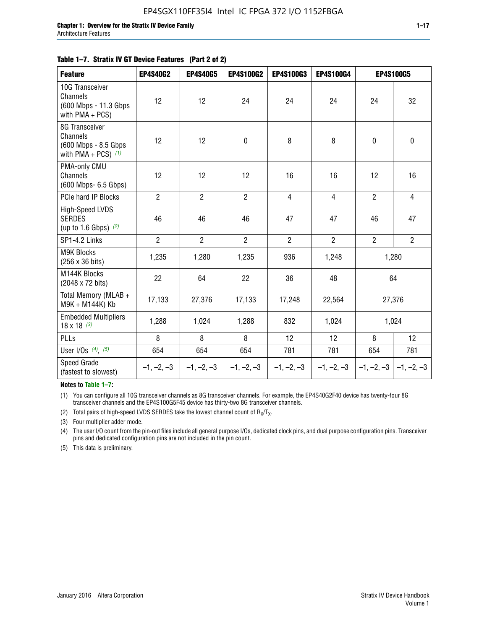#### **Table 1–7. Stratix IV GT Device Features (Part 2 of 2)**

| <b>Feature</b>                                                               | <b>EP4S40G2</b> | <b>EP4S40G5</b> | <b>EP4S100G2</b> | <b>EP4S100G3</b> | EP4S100G4      |                           | <b>EP4S100G5</b> |
|------------------------------------------------------------------------------|-----------------|-----------------|------------------|------------------|----------------|---------------------------|------------------|
| 10G Transceiver<br>Channels<br>(600 Mbps - 11.3 Gbps<br>with $PMA + PCS$ )   | 12              | 12              | 24               | 24               | 24             | 24                        | 32               |
| 8G Transceiver<br>Channels<br>(600 Mbps - 8.5 Gbps)<br>with PMA + PCS) $(1)$ | 12              | 12              | $\pmb{0}$        | 8                | 8              | $\mathbf 0$               | $\mathbf 0$      |
| PMA-only CMU<br>Channels<br>(600 Mbps- 6.5 Gbps)                             | 12              | 12              | 12               | 16               | 16             | 12                        | 16               |
| PCIe hard IP Blocks                                                          | $\overline{2}$  | $\overline{2}$  | $\overline{2}$   | $\overline{4}$   | $\overline{4}$ | $\overline{2}$            | $\overline{4}$   |
| <b>High-Speed LVDS</b><br><b>SERDES</b><br>(up to 1.6 Gbps) $(2)$            | 46              | 46              | 46               | 47               | 47             | 46                        | 47               |
| SP1-4.2 Links                                                                | $\overline{2}$  | $\overline{2}$  | $\overline{2}$   | $\overline{2}$   | $\overline{2}$ | $\overline{2}$            | $\overline{2}$   |
| <b>M9K Blocks</b><br>(256 x 36 bits)                                         | 1,235           | 1,280           | 1,235            | 936              | 1,248          |                           | 1,280            |
| M144K Blocks<br>(2048 x 72 bits)                                             | 22              | 64              | 22               | 36               | 48             |                           | 64               |
| Total Memory (MLAB +<br>M9K + M144K) Kb                                      | 17,133          | 27,376          | 17,133           | 17,248           | 22,564         |                           | 27,376           |
| <b>Embedded Multipliers</b><br>$18 \times 18^{(3)}$                          | 1,288           | 1,024           | 1,288            | 832              | 1,024          |                           | 1,024            |
| PLLs                                                                         | 8               | 8               | 8                | 12               | 12             | 8                         | 12               |
| User I/Os $(4)$ , $(5)$                                                      | 654             | 654             | 654              | 781              | 781            | 654                       | 781              |
| Speed Grade<br>(fastest to slowest)                                          | $-1, -2, -3$    | $-1, -2, -3$    | $-1, -2, -3$     | $-1, -2, -3$     | $-1, -2, -3$   | $-1, -2, -3$ $-1, -2, -3$ |                  |

**Notes to Table 1–7:**

(1) You can configure all 10G transceiver channels as 8G transceiver channels. For example, the EP4S40G2F40 device has twenty-four 8G transceiver channels and the EP4S100G5F45 device has thirty-two 8G transceiver channels.

(2) Total pairs of high-speed LVDS SERDES take the lowest channel count of  $R_X/T_X$ .

(3) Four multiplier adder mode.

(4) The user I/O count from the pin-out files include all general purpose I/Os, dedicated clock pins, and dual purpose configuration pins. Transceiver pins and dedicated configuration pins are not included in the pin count.

(5) This data is preliminary.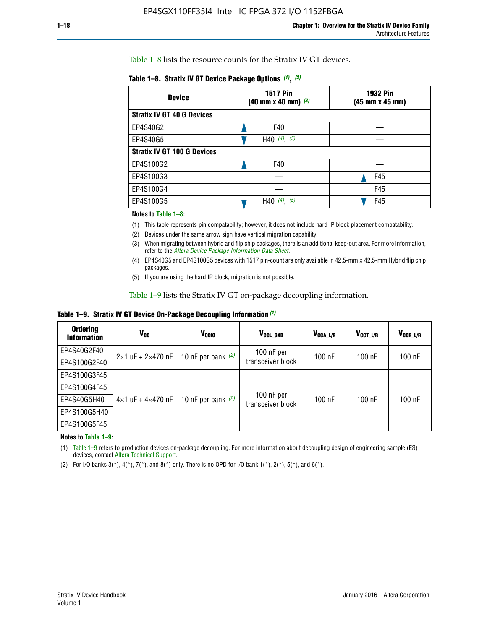Table 1–8 lists the resource counts for the Stratix IV GT devices.

| <b>Device</b>                      | <b>1517 Pin</b><br><b>1932 Pin</b><br>$(40 \text{ mm} \times 40 \text{ mm})$ $(3)$<br>(45 mm x 45 mm) |     |  |
|------------------------------------|-------------------------------------------------------------------------------------------------------|-----|--|
| <b>Stratix IV GT 40 G Devices</b>  |                                                                                                       |     |  |
| EP4S40G2                           | F40                                                                                                   |     |  |
| EP4S40G5                           | H40 $(4)$ , $(5)$                                                                                     |     |  |
| <b>Stratix IV GT 100 G Devices</b> |                                                                                                       |     |  |
| EP4S100G2                          | F40                                                                                                   |     |  |
| EP4S100G3                          |                                                                                                       | F45 |  |
| EP4S100G4                          |                                                                                                       | F45 |  |
| EP4S100G5                          | (5)<br>$(4)$ ,<br>H40                                                                                 | F45 |  |

#### **Notes to Table 1–8:**

(1) This table represents pin compatability; however, it does not include hard IP block placement compatability.

- (2) Devices under the same arrow sign have vertical migration capability.
- (3) When migrating between hybrid and flip chip packages, there is an additional keep-out area. For more information, refer to the *[Altera Device Package Information Data Sheet](http://www.altera.com/literature/ds/dspkg.pdf)*.
- (4) EP4S40G5 and EP4S100G5 devices with 1517 pin-count are only available in 42.5-mm x 42.5-mm Hybrid flip chip packages.
- (5) If you are using the hard IP block, migration is not possible.

Table 1–9 lists the Stratix IV GT on-package decoupling information.

**Table 1–9. Stratix IV GT Device On-Package Decoupling Information** *(1)*

| <b>Ordering</b><br><b>Information</b> | Vcc                                 | <b>V<sub>CCIO</sub></b> | V <sub>CCL GXB</sub>            | V <sub>CCA L/R</sub> | V <sub>CCT L/R</sub> | V <sub>CCR_L/R</sub> |
|---------------------------------------|-------------------------------------|-------------------------|---------------------------------|----------------------|----------------------|----------------------|
| EP4S40G2F40                           | $2 \times 1$ uF + $2 \times 470$ nF | 10 nF per bank $(2)$    | 100 nF per<br>transceiver block | $100$ nF             | $100$ nF             | 100 nF               |
| EP4S100G2F40                          |                                     |                         |                                 |                      |                      |                      |
| EP4S100G3F45                          |                                     | 10 nF per bank $(2)$    | 100 nF per<br>transceiver block | $100$ nF             | $100$ nF             | $100$ nF             |
| EP4S100G4F45                          |                                     |                         |                                 |                      |                      |                      |
| EP4S40G5H40                           | $4\times1$ uF + $4\times470$ nF     |                         |                                 |                      |                      |                      |
| EP4S100G5H40                          |                                     |                         |                                 |                      |                      |                      |
| EP4S100G5F45                          |                                     |                         |                                 |                      |                      |                      |

**Notes to Table 1–9:**

(1) Table 1–9 refers to production devices on-package decoupling. For more information about decoupling design of engineering sample (ES) devices, contact [Altera Technical Support](http://mysupport.altera.com/eservice/login.asp).

(2) For I/O banks  $3(*)$ ,  $4(*)$ ,  $7(*)$ , and  $8(*)$  only. There is no OPD for I/O bank  $1(*)$ ,  $2(*)$ ,  $5(*)$ , and  $6(*)$ .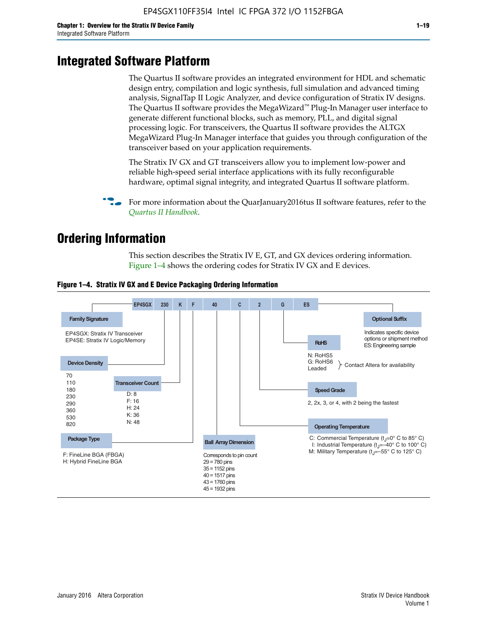# **Integrated Software Platform**

The Quartus II software provides an integrated environment for HDL and schematic design entry, compilation and logic synthesis, full simulation and advanced timing analysis, SignalTap II Logic Analyzer, and device configuration of Stratix IV designs. The Quartus II software provides the MegaWizard<sup> $M$ </sup> Plug-In Manager user interface to generate different functional blocks, such as memory, PLL, and digital signal processing logic. For transceivers, the Quartus II software provides the ALTGX MegaWizard Plug-In Manager interface that guides you through configuration of the transceiver based on your application requirements.

The Stratix IV GX and GT transceivers allow you to implement low-power and reliable high-speed serial interface applications with its fully reconfigurable hardware, optimal signal integrity, and integrated Quartus II software platform.

For more information about the QuarJanuary2016tus II software features, refer to the *[Quartus II Handbook](http://www.altera.com/literature/lit-qts.jsp)*.

# **Ordering Information**

This section describes the Stratix IV E, GT, and GX devices ordering information. Figure 1–4 shows the ordering codes for Stratix IV GX and E devices.



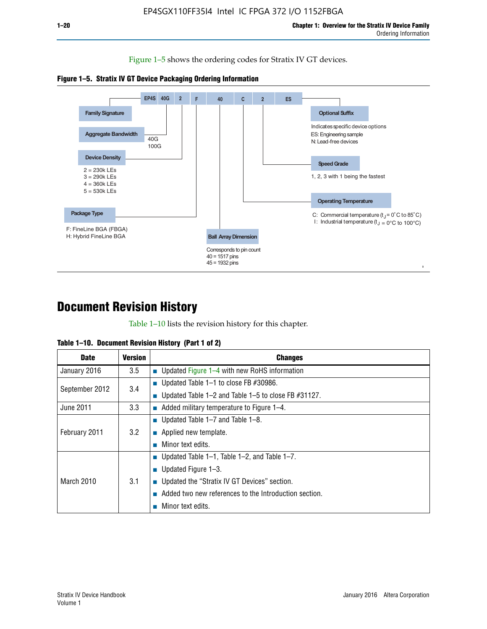Figure 1–5 shows the ordering codes for Stratix IV GT devices.





# **Document Revision History**

Table 1–10 lists the revision history for this chapter.

|  | Table 1–10. Document Revision History (Part 1 of 2) |  |  |
|--|-----------------------------------------------------|--|--|
|--|-----------------------------------------------------|--|--|

| <b>Date</b>       | <b>Version</b> | <b>Changes</b>                                              |
|-------------------|----------------|-------------------------------------------------------------|
| January 2016      | 3.5            | ■ Updated Figure $1-4$ with new RoHS information            |
| September 2012    | 3.4            | ■ Updated Table 1–1 to close FB $#30986$ .                  |
|                   |                | Updated Table $1-2$ and Table $1-5$ to close FB $\#31127$ . |
| June 2011         | 3.3            | $\blacksquare$ Added military temperature to Figure 1–4.    |
| February 2011     | 3.2            | ■ Updated Table 1–7 and Table 1–8.                          |
|                   |                | • Applied new template.                                     |
|                   |                | Minor text edits.                                           |
| <b>March 2010</b> | 3.1            | ■ Updated Table 1–1, Table 1–2, and Table 1–7.              |
|                   |                | ■ Updated Figure $1-3$ .                                    |
|                   |                | Updated the "Stratix IV GT Devices" section.                |
|                   |                | Added two new references to the Introduction section.       |
|                   |                | Minor text edits.                                           |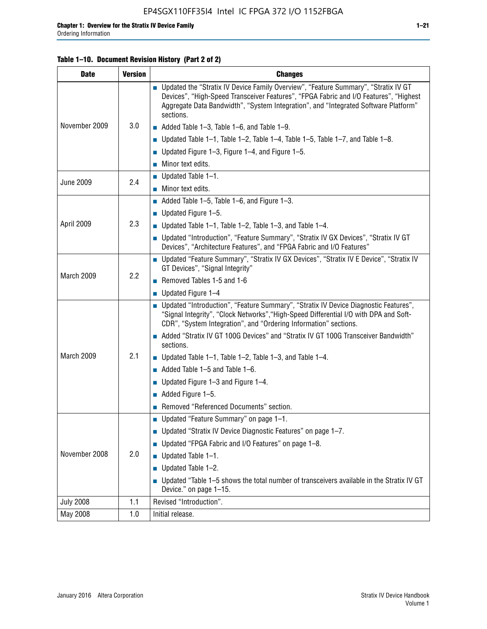#### **Table 1–10. Document Revision History (Part 2 of 2)**

| <b>Date</b>      | <b>Version</b> | <b>Changes</b>                                                                                                                                                                                                                                                                    |  |
|------------------|----------------|-----------------------------------------------------------------------------------------------------------------------------------------------------------------------------------------------------------------------------------------------------------------------------------|--|
| November 2009    | 3.0            | ■ Updated the "Stratix IV Device Family Overview", "Feature Summary", "Stratix IV GT<br>Devices", "High-Speed Transceiver Features", "FPGA Fabric and I/O Features", "Highest<br>Aggregate Data Bandwidth", "System Integration", and "Integrated Software Platform"<br>sections. |  |
|                  |                | $\blacksquare$ Added Table 1-3, Table 1-6, and Table 1-9.                                                                                                                                                                                                                         |  |
|                  |                | $\blacksquare$ Updated Table 1-1, Table 1-2, Table 1-4, Table 1-5, Table 1-7, and Table 1-8.                                                                                                                                                                                      |  |
|                  |                | ■ Updated Figure 1–3, Figure 1–4, and Figure 1–5.                                                                                                                                                                                                                                 |  |
|                  |                | $\blacksquare$ Minor text edits.                                                                                                                                                                                                                                                  |  |
| <b>June 2009</b> | 2.4            | $\blacksquare$ Updated Table 1-1.                                                                                                                                                                                                                                                 |  |
|                  |                | Minor text edits.                                                                                                                                                                                                                                                                 |  |
|                  |                | $\blacksquare$ Added Table 1–5, Table 1–6, and Figure 1–3.                                                                                                                                                                                                                        |  |
|                  |                | $\blacksquare$ Updated Figure 1-5.                                                                                                                                                                                                                                                |  |
| April 2009       | 2.3            | Updated Table $1-1$ , Table $1-2$ , Table $1-3$ , and Table $1-4$ .                                                                                                                                                                                                               |  |
|                  |                | ■ Updated "Introduction", "Feature Summary", "Stratix IV GX Devices", "Stratix IV GT<br>Devices", "Architecture Features", and "FPGA Fabric and I/O Features"                                                                                                                     |  |
|                  | 2.2            | ■ Updated "Feature Summary", "Stratix IV GX Devices", "Stratix IV E Device", "Stratix IV<br>GT Devices", "Signal Integrity"                                                                                                                                                       |  |
| March 2009       |                | Removed Tables 1-5 and 1-6                                                                                                                                                                                                                                                        |  |
|                  |                | Updated Figure 1-4                                                                                                                                                                                                                                                                |  |
|                  |                | ■ Updated "Introduction", "Feature Summary", "Stratix IV Device Diagnostic Features",<br>"Signal Integrity", "Clock Networks", "High-Speed Differential I/O with DPA and Soft-<br>CDR", "System Integration", and "Ordering Information" sections.                                |  |
|                  |                | Added "Stratix IV GT 100G Devices" and "Stratix IV GT 100G Transceiver Bandwidth"<br>sections.                                                                                                                                                                                    |  |
| March 2009       | 2.1            | <b>Updated Table 1–1, Table 1–2, Table 1–3, and Table 1–4.</b>                                                                                                                                                                                                                    |  |
|                  |                | $\blacksquare$ Added Table 1-5 and Table 1-6.                                                                                                                                                                                                                                     |  |
|                  |                | ■ Updated Figure $1-3$ and Figure $1-4$ .                                                                                                                                                                                                                                         |  |
|                  |                | $\blacksquare$ Added Figure 1-5.                                                                                                                                                                                                                                                  |  |
|                  |                | Removed "Referenced Documents" section.                                                                                                                                                                                                                                           |  |
|                  | 2.0            | Updated "Feature Summary" on page 1-1.                                                                                                                                                                                                                                            |  |
| November 2008    |                | ■ Updated "Stratix IV Device Diagnostic Features" on page 1-7.                                                                                                                                                                                                                    |  |
|                  |                | Updated "FPGA Fabric and I/O Features" on page 1-8.                                                                                                                                                                                                                               |  |
|                  |                | $\blacksquare$ Updated Table 1-1.                                                                                                                                                                                                                                                 |  |
|                  |                | Updated Table 1-2.                                                                                                                                                                                                                                                                |  |
|                  |                | Updated "Table 1-5 shows the total number of transceivers available in the Stratix IV GT<br>Device." on page 1-15.                                                                                                                                                                |  |
| <b>July 2008</b> | 1.1            | Revised "Introduction".                                                                                                                                                                                                                                                           |  |
| May 2008         | 1.0            | Initial release.                                                                                                                                                                                                                                                                  |  |